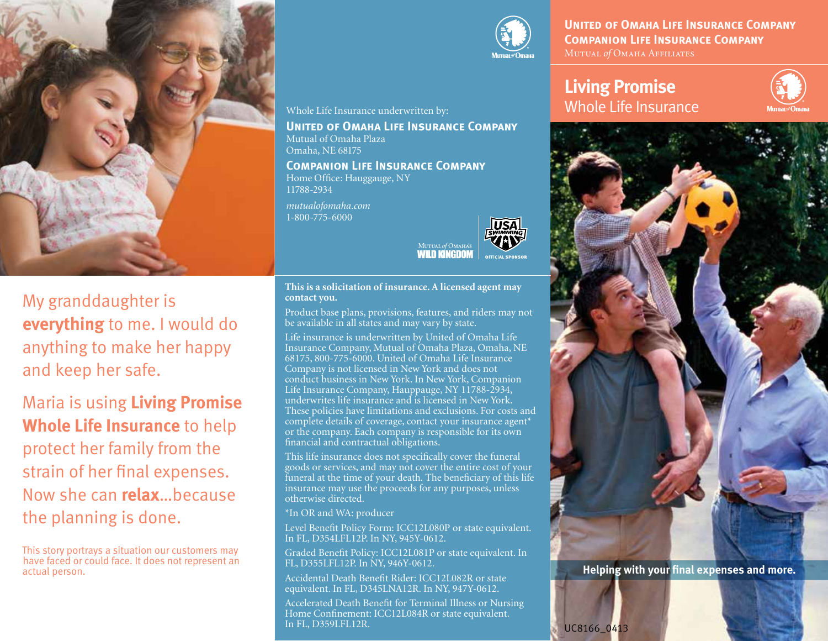

My granddaughter is **everything** to me. I would do anything to make her happy and keep her safe.

**contact you.**

Product base plans, provisions, features, and riders may not

MUTUAL of OMAHA **Wilh Kingnon** 

Life insurance is underwritten by United of Omaha Life Insurance Company, Mutual of Omaha Plaza, Omaha, NE 68175, 800-775-6000. United of Omaha Life Insurance Company is not licensed in New York and does not conduct business in New York. In New York, Companion Life Insurance Company, Hauppauge, NY 11788-2934, underwrites life insurance and is licensed in New York. These policies have limitations and exclusions. For costs and complete details of coverage, contact your insurance agent\* or the company. Each company is responsible for its own

This life insurance does not specifically cover the funeral goods or services, and may not cover the entire cost of your funeral at the time of your death. The beneficiary of this life insurance may use the proceeds for any purposes, unless

Level Benefit Policy Form: ICC12L080P or state equivalent.

Graded Benefit Policy: ICC12L081P or state equivalent. In

Accidental Death Benefit Rider: ICC12L082R or state equivalent. In FL, D345LNA12R. In NY, 947Y-0612. Accelerated Death Benefit for Terminal Illness or Nursing Home Confinement: ICC12L084R or state equivalent.

be available in all states and may vary by state.

financial and contractual obligations.

In FL, D354LFL12P. In NY, 945Y-0612.

FL, D355LFL12P. In NY, 946Y-0612.

otherwise directed.

In FL, D359LFL12R.

\*In OR and WA: producer

Maria is using **Living Promise Whole Life Insurance** to help protect her family from the strain of her final expenses. Now she can **relax**…because the planning is done.

This story portrays a situation our customers may have faced or could face. It does not represent an actual person.



**United of Omaha Life Insurance Company Companion Life Insurance Company** Mutual of Omaha Affiliates

# **Living Promise** Whole Life Insurance





**Helping with your final expenses and more.**

UC8166\_0413